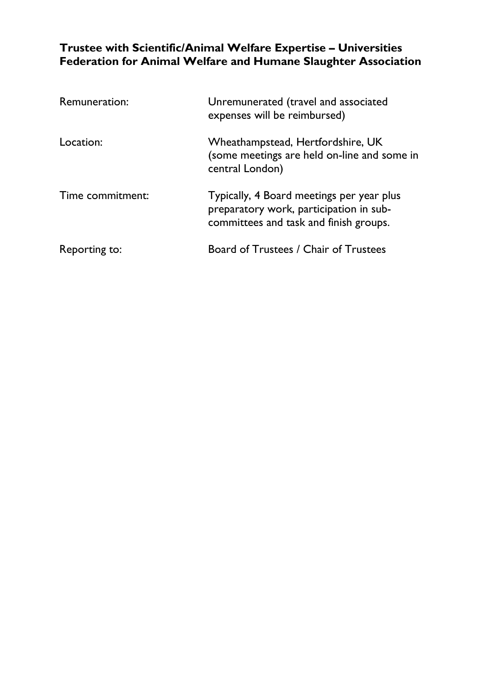# **Trustee with Scientific/Animal Welfare Expertise – Universities Federation for Animal Welfare and Humane Slaughter Association**

| Remuneration:    | Unremunerated (travel and associated<br>expenses will be reimbursed)                                                           |
|------------------|--------------------------------------------------------------------------------------------------------------------------------|
| Location:        | Wheathampstead, Hertfordshire, UK<br>(some meetings are held on-line and some in<br>central London)                            |
| Time commitment: | Typically, 4 Board meetings per year plus<br>preparatory work, participation in sub-<br>committees and task and finish groups. |
| Reporting to:    | Board of Trustees / Chair of Trustees                                                                                          |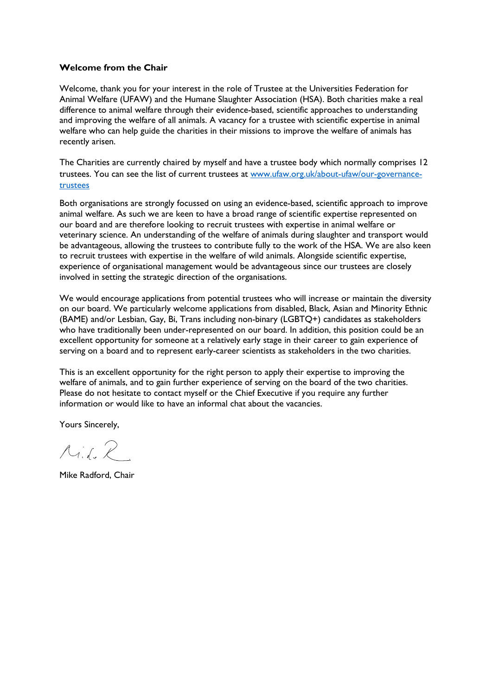#### **Welcome from the Chair**

Welcome, thank you for your interest in the role of Trustee at the Universities Federation for Animal Welfare (UFAW) and the Humane Slaughter Association (HSA). Both charities make a real difference to animal welfare through their evidence-based, scientific approaches to understanding and improving the welfare of all animals. A vacancy for a trustee with scientific expertise in animal welfare who can help guide the charities in their missions to improve the welfare of animals has recently arisen.

The Charities are currently chaired by myself and have a trustee body which normally comprises 12 trustees. You can see the list of current trustees at [www.ufaw.org.uk/about-ufaw/our-governance](http://www.ufaw.org.uk/about-ufaw/our-governance-trustees)[trustees](http://www.ufaw.org.uk/about-ufaw/our-governance-trustees)

Both organisations are strongly focussed on using an evidence-based, scientific approach to improve animal welfare. As such we are keen to have a broad range of scientific expertise represented on our board and are therefore looking to recruit trustees with expertise in animal welfare or veterinary science. An understanding of the welfare of animals during slaughter and transport would be advantageous, allowing the trustees to contribute fully to the work of the HSA. We are also keen to recruit trustees with expertise in the welfare of wild animals. Alongside scientific expertise, experience of organisational management would be advantageous since our trustees are closely involved in setting the strategic direction of the organisations.

We would encourage applications from potential trustees who will increase or maintain the diversity on our board. We particularly welcome applications from disabled, Black, Asian and Minority Ethnic (BAME) and/or Lesbian, Gay, Bi, Trans including non-binary (LGBTQ+) candidates as stakeholders who have traditionally been under-represented on our board. In addition, this position could be an excellent opportunity for someone at a relatively early stage in their career to gain experience of serving on a board and to represent early-career scientists as stakeholders in the two charities.

This is an excellent opportunity for the right person to apply their expertise to improving the welfare of animals, and to gain further experience of serving on the board of the two charities. Please do not hesitate to contact myself or the Chief Executive if you require any further information or would like to have an informal chat about the vacancies.

Yours Sincerely,

 $A$ id,  $R$ 

Mike Radford, Chair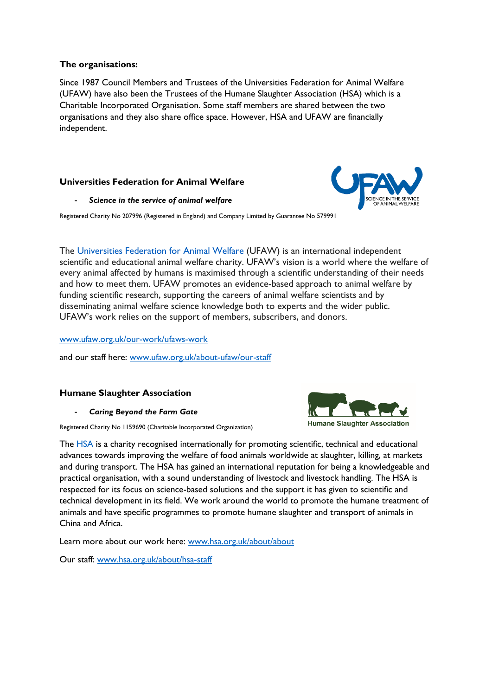### **The organisations:**

Since 1987 Council Members and Trustees of the Universities Federation for Animal Welfare (UFAW) have also been the Trustees of the Humane Slaughter Association (HSA) which is a Charitable Incorporated Organisation. Some staff members are shared between the two organisations and they also share office space. However, HSA and UFAW are financially independent.

## **Universities Federation for Animal Welfare**

#### - *Science in the service of animal welfare*

Registered Charity No 207996 (Registered in England) and Company Limited by Guarantee No 579991

The [Universities Federation for Animal Welfare](http://www.ufaw.org.uk/) (UFAW) is an international independent scientific and educational animal welfare charity. UFAW's vision is a world where the welfare of every animal affected by humans is maximised through a scientific understanding of their needs and how to meet them. UFAW promotes an evidence-based approach to animal welfare by funding scientific research, supporting the careers of animal welfare scientists and by disseminating animal welfare science knowledge both to experts and the wider public. UFAW's work relies on the support of members, subscribers, and donors.

[www.ufaw.org.uk/our-work/ufaws-work](http://www.ufaw.org.uk/our-work/ufaws-work)

and our staff here: [www.ufaw.org.uk/about-ufaw/our-staff](http://www.ufaw.org.uk/about-ufaw/our-staff)

## **Humane Slaughter Association**

- *Caring Beyond the Farm Gate*

Registered Charity No 1159690 (Charitable Incorporated Organization)

The [HSA](http://www.hsa.org.uk/edinburgh22) is a charity recognised internationally for promoting scientific, technical and educational advances towards improving the welfare of food animals worldwide at slaughter, killing, at markets and during transport. The HSA has gained an international reputation for being a knowledgeable and practical organisation, with a sound understanding of livestock and livestock handling. The HSA is respected for its focus on science-based solutions and the support it has given to scientific and technical development in its field. We work around the world to promote the humane treatment of animals and have specific programmes to promote humane slaughter and transport of animals in China and Africa.

Learn more about our work here: [www.hsa.org.uk/about/about](http://www.hsa.org.uk/about/about)

Our staff: [www.hsa.org.uk/about/hsa-staff](http://www.hsa.org.uk/about/hsa-staff)



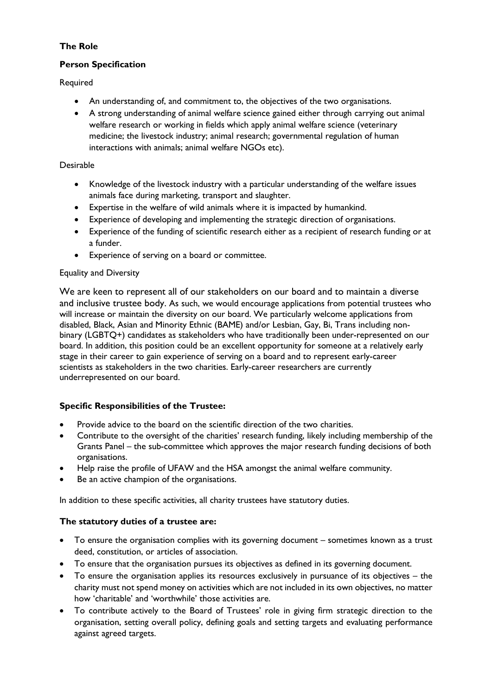## **The Role**

## **Person Specification**

Required

- An understanding of, and commitment to, the objectives of the two organisations.
- A strong understanding of animal welfare science gained either through carrying out animal welfare research or working in fields which apply animal welfare science (veterinary medicine; the livestock industry; animal research; governmental regulation of human interactions with animals; animal welfare NGOs etc).

## Desirable

- Knowledge of the livestock industry with a particular understanding of the welfare issues animals face during marketing, transport and slaughter.
- Expertise in the welfare of wild animals where it is impacted by humankind.
- Experience of developing and implementing the strategic direction of organisations.
- Experience of the funding of scientific research either as a recipient of research funding or at a funder.
- Experience of serving on a board or committee.

## Equality and Diversity

We are keen to represent all of our stakeholders on our board and to maintain a diverse and inclusive trustee body. As such, we would encourage applications from potential trustees who will increase or maintain the diversity on our board. We particularly welcome applications from disabled, Black, Asian and Minority Ethnic (BAME) and/or Lesbian, Gay, Bi, Trans including nonbinary (LGBTQ+) candidates as stakeholders who have traditionally been under-represented on our board. In addition, this position could be an excellent opportunity for someone at a relatively early stage in their career to gain experience of serving on a board and to represent early-career scientists as stakeholders in the two charities. Early-career researchers are currently underrepresented on our board.

## **Specific Responsibilities of the Trustee:**

- Provide advice to the board on the scientific direction of the two charities.
- Contribute to the oversight of the charities' research funding, likely including membership of the Grants Panel – the sub-committee which approves the major research funding decisions of both organisations.
- Help raise the profile of UFAW and the HSA amongst the animal welfare community.
- Be an active champion of the organisations.

In addition to these specific activities, all charity trustees have statutory duties.

## **The statutory duties of a trustee are:**

- To ensure the organisation complies with its governing document sometimes known as a trust deed, constitution, or articles of association.
- To ensure that the organisation pursues its objectives as defined in its governing document.
- To ensure the organisation applies its resources exclusively in pursuance of its objectives the charity must not spend money on activities which are not included in its own objectives, no matter how 'charitable' and 'worthwhile' those activities are.
- To contribute actively to the Board of Trustees' role in giving firm strategic direction to the organisation, setting overall policy, defining goals and setting targets and evaluating performance against agreed targets.